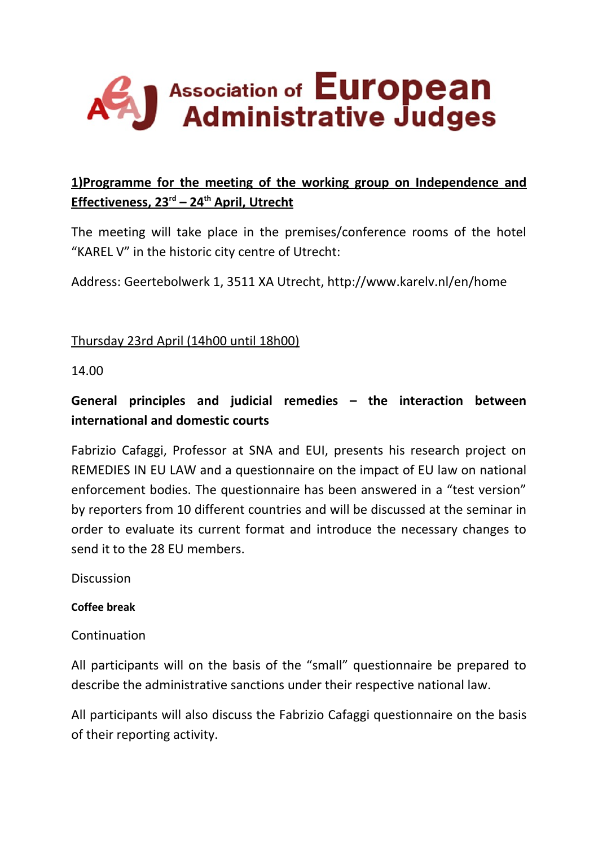# J Association of European

# **1)Programme for the meeting of the working group on Independence and Effectiveness, 23rd – 24th April, Utrecht**

The meeting will take place in the premises/conference rooms of the hotel "KAREL V" in the historic city centre of Utrecht:

Address: Geertebolwerk 1, 3511 XA Utrecht, http://www.karelv.nl/en/home

Thursday 23rd April (14h00 until 18h00)

14.00

# **General principles and judicial remedies – the interaction between international and domestic courts**

Fabrizio Cafaggi, Professor at SNA and EUI, presents his research project on REMEDIES IN EU LAW and a questionnaire on the impact of EU law on national enforcement bodies. The questionnaire has been answered in a "test version" by reporters from 10 different countries and will be discussed at the seminar in order to evaluate its current format and introduce the necessary changes to send it to the 28 EU members.

**Discussion** 

### **Coffee break**

Continuation

All participants will on the basis of the "small" questionnaire be prepared to describe the administrative sanctions under their respective national law.

All participants will also discuss the Fabrizio Cafaggi questionnaire on the basis of their reporting activity.